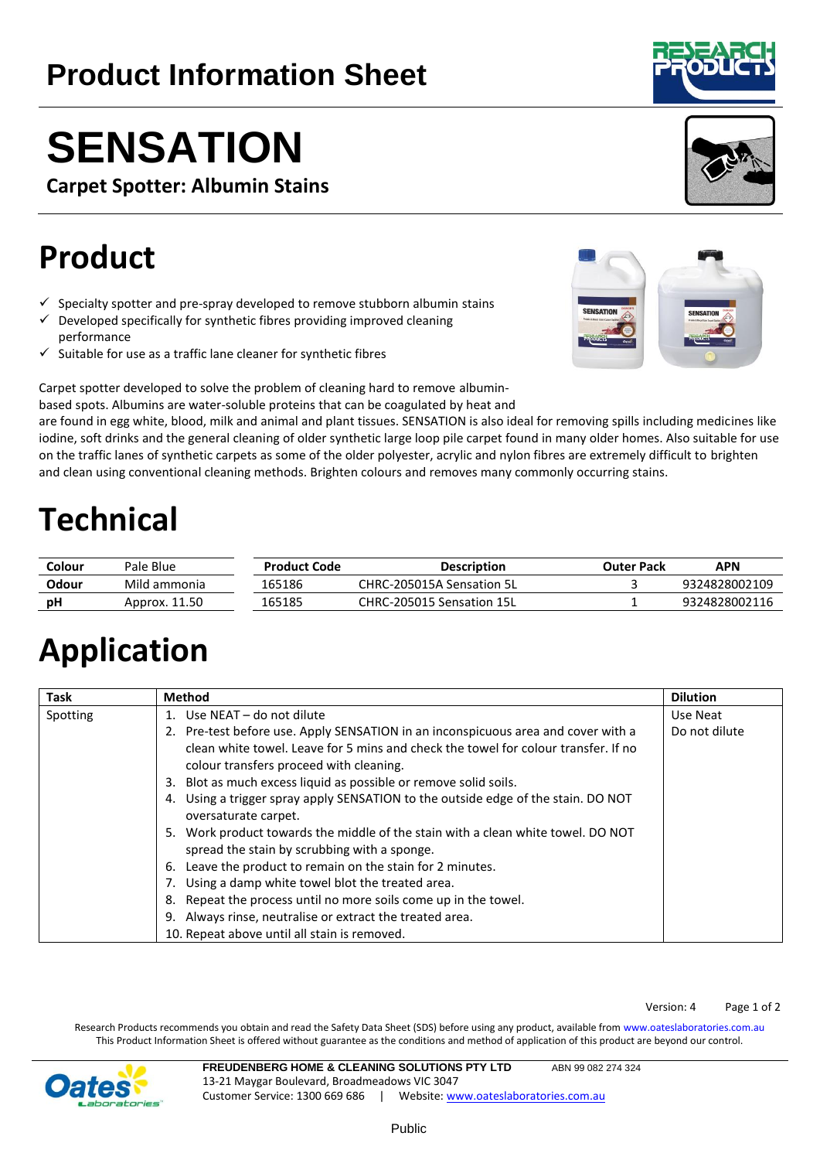Public

**Product Information Sheet** 

**Carpet Spotter: Albumin Stains**

## **Product**

- $\checkmark$  Specialty spotter and pre-spray developed to remove stubborn albumin stains
- $\checkmark$  Developed specifically for synthetic fibres providing improved cleaning performance
- $\checkmark$  Suitable for use as a traffic lane cleaner for synthetic fibres

Carpet spotter developed to solve the problem of cleaning hard to remove albumin-

based spots. Albumins are water-soluble proteins that can be coagulated by heat and

are found in egg white, blood, milk and animal and plant tissues. SENSATION is also ideal for removing spills including medicines like iodine, soft drinks and the general cleaning of older synthetic large loop pile carpet found in many older homes. Also suitable for use on the traffic lanes of synthetic carpets as some of the older polyester, acrylic and nylon fibres are extremely difficult to brighten and clean using conventional cleaning methods. Brighten colours and removes many commonly occurring stains.

## **Technical**

| Colour | Pale Blue     | <b>Product Code</b> | <b>Description</b>        | Outer Pack | APN           |
|--------|---------------|---------------------|---------------------------|------------|---------------|
| Odour  | Mild ammonia  | 165186              | CHRC-205015A Sensation 5L |            | 9324828002109 |
| рH     | Approx. 11.50 | 165185              | CHRC-205015 Sensation 15L |            | 9324828002116 |

# **Application**

| <b>Task</b> | <b>Method</b>                                                                        | <b>Dilution</b> |
|-------------|--------------------------------------------------------------------------------------|-----------------|
| Spotting    | Use NEAT - do not dilute                                                             | Use Neat        |
|             | Pre-test before use. Apply SENSATION in an inconspicuous area and cover with a<br>2. | Do not dilute   |
|             | clean white towel. Leave for 5 mins and check the towel for colour transfer. If no   |                 |
|             | colour transfers proceed with cleaning.                                              |                 |
|             | Blot as much excess liquid as possible or remove solid soils.<br>3.                  |                 |
|             | Using a trigger spray apply SENSATION to the outside edge of the stain. DO NOT<br>4. |                 |
|             | oversaturate carpet.                                                                 |                 |
|             | Work product towards the middle of the stain with a clean white towel. DO NOT<br>5.  |                 |
|             | spread the stain by scrubbing with a sponge.                                         |                 |
|             | Leave the product to remain on the stain for 2 minutes.<br>6.                        |                 |
|             | Using a damp white towel blot the treated area.                                      |                 |
|             | Repeat the process until no more soils come up in the towel.<br>8.                   |                 |
|             | Always rinse, neutralise or extract the treated area.<br>9.                          |                 |
|             | 10. Repeat above until all stain is removed.                                         |                 |

Research Products recommends you obtain and read the Safety Data Sheet (SDS) before using any product, available from [www.oateslaboratories.com.au](http://www.oateslaboratories.com.au/) This Product Information Sheet is offered without guarantee as the conditions and method of application of this product are beyond our control.







## **FREUDENBERG HOME & CLEANING SOLUTIONS PTY LTD** ABN 99 082 274 324



13-21 Maygar Boulevard, Broadmeadows VIC 3047